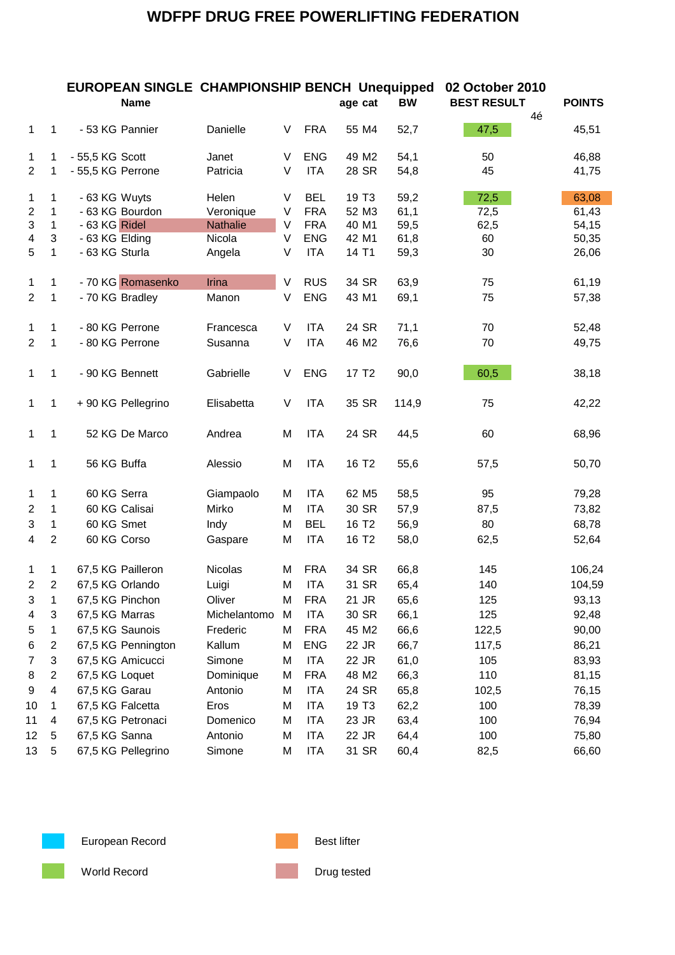|                           |                | <b>EUROPEAN SINGLE CHAMPIONSHIP BENCH Unequipped</b><br><b>Name</b> |                 |   |            | age cat           | <b>BW</b> | 02 October 2010<br><b>BEST RESULT</b><br>4é | <b>POINTS</b> |
|---------------------------|----------------|---------------------------------------------------------------------|-----------------|---|------------|-------------------|-----------|---------------------------------------------|---------------|
| $\mathbf{1}$              | 1              | - 53 KG Pannier                                                     | Danielle        | V | <b>FRA</b> | 55 M4             | 52,7      | 47,5                                        | 45,51         |
| 1                         | 1              | - 55,5 KG Scott                                                     | Janet           | V | <b>ENG</b> | 49 M2             | 54,1      | 50                                          | 46,88         |
| $\overline{2}$            | 1              | - 55,5 KG Perrone                                                   | Patricia        | V | <b>ITA</b> | 28 SR             | 54,8      | 45                                          | 41,75         |
| 1                         | 1              | - 63 KG Wuyts                                                       | Helen           | V | <b>BEL</b> | 19 T <sub>3</sub> | 59,2      | 72,5                                        | 63,08         |
| $\overline{2}$            | $\mathbf{1}$   | - 63 KG Bourdon                                                     | Veronique       | V | <b>FRA</b> | 52 M3             | 61,1      | 72,5                                        | 61,43         |
| $\ensuremath{\mathsf{3}}$ | $\mathbf{1}$   | - 63 KG Ridel                                                       | <b>Nathalie</b> | V | <b>FRA</b> | 40 M1             | 59,5      | 62,5                                        | 54,15         |
| 4                         | 3              | - 63 KG Elding                                                      | Nicola          | V | <b>ENG</b> | 42 M1             | 61,8      | 60                                          | 50,35         |
| 5                         | 1              | - 63 KG Sturla                                                      | Angela          | V | <b>ITA</b> | 14 T1             | 59,3      | 30                                          | 26,06         |
| 1                         | 1              | - 70 KG Romasenko                                                   | Irina           | V | <b>RUS</b> | 34 SR             | 63,9      | 75                                          | 61,19         |
| $\overline{2}$            | 1              | - 70 KG Bradley                                                     | Manon           | V | <b>ENG</b> | 43 M1             | 69,1      | 75                                          | 57,38         |
| 1                         | 1              | - 80 KG Perrone                                                     | Francesca       | V | <b>ITA</b> | 24 SR             | 71,1      | 70                                          | 52,48         |
| $\overline{2}$            | 1              | - 80 KG Perrone                                                     | Susanna         | V | <b>ITA</b> | 46 M2             | 76,6      | 70                                          | 49,75         |
| $\mathbf{1}$              | 1              | - 90 KG Bennett                                                     | Gabrielle       | V | <b>ENG</b> | 17 T <sub>2</sub> | 90,0      | 60,5                                        | 38,18         |
| $\mathbf{1}$              | 1              | + 90 KG Pellegrino                                                  | Elisabetta      | V | <b>ITA</b> | 35 SR             | 114,9     | 75                                          | 42,22         |
| 1                         | 1              | 52 KG De Marco                                                      | Andrea          | M | <b>ITA</b> | 24 SR             | 44,5      | 60                                          | 68,96         |
| 1                         | 1              | 56 KG Buffa                                                         | Alessio         | M | <b>ITA</b> | 16 T <sub>2</sub> | 55,6      | 57,5                                        | 50,70         |
| 1                         | 1              | 60 KG Serra                                                         | Giampaolo       | M | <b>ITA</b> | 62 M <sub>5</sub> | 58,5      | 95                                          | 79,28         |
| $\overline{2}$            | 1              | 60 KG Calisai                                                       | Mirko           | M | <b>ITA</b> | 30 SR             | 57,9      | 87,5                                        | 73,82         |
| 3                         | 1              | 60 KG Smet                                                          | Indy            | M | <b>BEL</b> | 16 T <sub>2</sub> | 56,9      | 80                                          | 68,78         |
| 4                         | $\overline{2}$ | 60 KG Corso                                                         | Gaspare         | M | <b>ITA</b> | 16 T <sub>2</sub> | 58,0      | 62,5                                        | 52,64         |
| 1                         | 1              | 67,5 KG Pailleron                                                   | Nicolas         | M | <b>FRA</b> | 34 SR             | 66,8      | 145                                         | 106,24        |
| $\overline{2}$            | $\overline{c}$ | 67,5 KG Orlando                                                     | Luigi           | М | <b>ITA</b> | 31 SR             | 65,4      | 140                                         | 104,59        |
| 3                         | 1              | 67,5 KG Pinchon                                                     | Oliver          | M | <b>FRA</b> | 21 JR             | 65,6      | 125                                         | 93,13         |
| 4                         | 3              | 67,5 KG Marras                                                      | Michelantomo    | M | <b>ITA</b> | 30 SR             | 66,1      | 125                                         | 92,48         |
| 5                         | 1              | 67,5 KG Saunois                                                     | Frederic        | M | <b>FRA</b> | 45 M2             | 66,6      | 122,5                                       | 90,00         |
| 6                         | 2              | 67,5 KG Pennington                                                  | Kallum          | M | <b>ENG</b> | 22 JR             | 66,7      | 117,5                                       | 86,21         |
| 7                         | 3              | 67,5 KG Amicucci                                                    | Simone          | M | <b>ITA</b> | 22 JR             | 61,0      | 105                                         | 83,93         |
| 8                         | $\overline{2}$ | 67,5 KG Loquet                                                      | Dominique       | M | <b>FRA</b> | 48 M2             | 66,3      | 110                                         | 81,15         |
| 9                         | 4              | 67,5 KG Garau                                                       | Antonio         | M | <b>ITA</b> | 24 SR             | 65,8      | 102,5                                       | 76,15         |
| 10                        | 1              | 67,5 KG Falcetta                                                    | Eros            | M | <b>ITA</b> | 19 T <sub>3</sub> | 62,2      | 100                                         | 78,39         |
| 11                        | 4              | 67,5 KG Petronaci                                                   | Domenico        | M | <b>ITA</b> | 23 JR             | 63,4      | 100                                         | 76,94         |
| 12                        | 5              | 67,5 KG Sanna                                                       | Antonio         | M | <b>ITA</b> | 22 JR             | 64,4      | 100                                         | 75,80         |
| 13                        | 5              | 67,5 KG Pellegrino                                                  | Simone          | M | <b>ITA</b> | 31 SR             | 60,4      | 82,5                                        | 66,60         |



European Record **Best lifter** Best lifter





World Record **Drug tested** Drug tested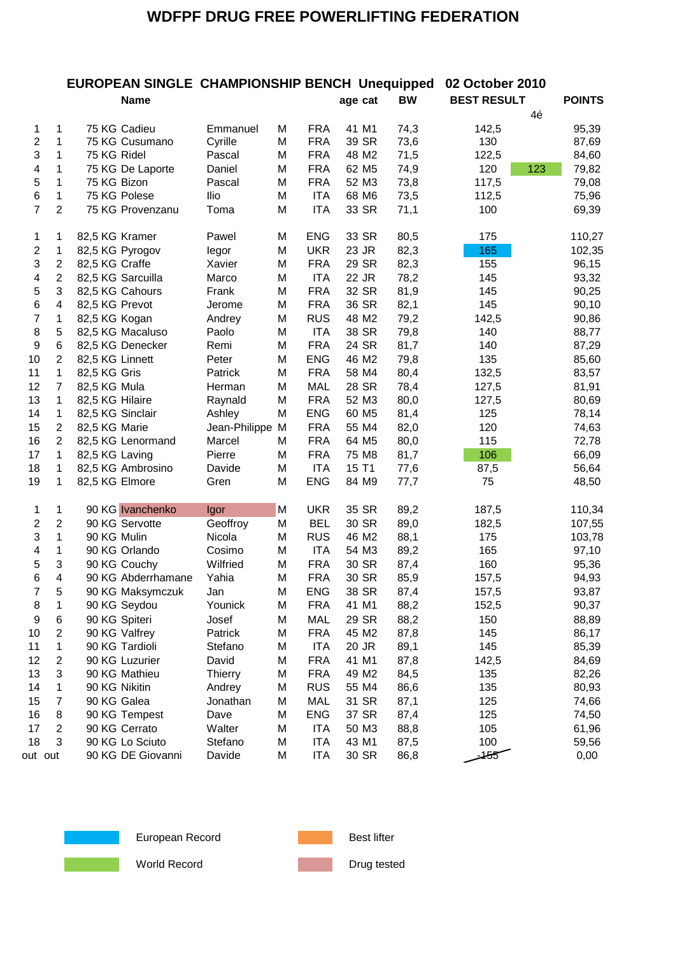## **EUROPEAN SINGLE CHAMPIONSHIP BENCH Unequipped 02 October 2010**

|                |                | Name               |                |   |            | age cat           | <b>BW</b> | <b>BEST RESULT</b> | <b>POINTS</b> |
|----------------|----------------|--------------------|----------------|---|------------|-------------------|-----------|--------------------|---------------|
|                |                |                    |                |   |            |                   |           | 4é                 |               |
| 1              | 1              | 75 KG Cadieu       | Emmanuel       | M | <b>FRA</b> | 41 M1             | 74,3      | 142,5              | 95,39         |
| $\overline{c}$ | 1              | 75 KG Cusumano     | Cyrille        | М | <b>FRA</b> | 39 SR             | 73,6      | 130                | 87,69         |
| 3              | 1              | 75 KG Ridel        | Pascal         | M | <b>FRA</b> | 48 M2             | 71,5      | 122,5              | 84,60         |
| 4              | 1              | 75 KG De Laporte   | Daniel         | M | <b>FRA</b> | 62 M <sub>5</sub> | 74,9      | 120<br>123         | 79,82         |
| 5              | 1              | 75 KG Bizon        | Pascal         | M | <b>FRA</b> | 52 M3             | 73,8      | 117,5              | 79,08         |
| 6              | 1              | 75 KG Polese       | llio           | M | <b>ITA</b> | 68 M6             | 73,5      | 112,5              | 75,96         |
| $\overline{7}$ | $\overline{2}$ | 75 KG Provenzanu   | Toma           | M | <b>ITA</b> | 33 SR             | 71,1      | 100                | 69,39         |
| 1              | 1              | 82,5 KG Kramer     | Pawel          | М | <b>ENG</b> | 33 SR             | 80,5      | 175                | 110,27        |
| $\overline{c}$ | $\mathbf{1}$   | 82,5 KG Pyrogov    | legor          | M | <b>UKR</b> | 23 JR             | 82,3      | 165                | 102,35        |
| 3              | $\overline{2}$ | 82,5 KG Craffe     | Xavier         | M | <b>FRA</b> | 29 SR             | 82,3      | 155                | 96,15         |
| 4              | $\overline{2}$ | 82,5 KG Sarcuilla  | Marco          | M | <b>ITA</b> | 22 JR             | 78,2      | 145                | 93,32         |
| 5              | 3              | 82,5 KG Cahours    | Frank          | M | <b>FRA</b> | 32 SR             | 81,9      | 145                | 90,25         |
| 6              | 4              | 82,5 KG Prevot     | Jerome         | M | <b>FRA</b> | 36 SR             | 82,1      | 145                | 90,10         |
| 7              | 1              | 82,5 KG Kogan      | Andrey         | M | <b>RUS</b> | 48 M2             | 79,2      | 142,5              | 90,86         |
| 8              | 5              | 82,5 KG Macaluso   | Paolo          | M | <b>ITA</b> | 38 SR             | 79,8      | 140                | 88,77         |
| 9              | 6              | 82,5 KG Denecker   | Remi           | M | <b>FRA</b> | 24 SR             | 81,7      | 140                | 87,29         |
| 10             | $\overline{2}$ | 82,5 KG Linnett    | Peter          | M | <b>ENG</b> | 46 M2             | 79,8      | 135                | 85,60         |
| 11             | 1              | 82,5 KG Gris       | Patrick        | М | <b>FRA</b> | 58 M4             | 80,4      | 132,5              | 83,57         |
| 12             | $\overline{7}$ | 82,5 KG Mula       | Herman         | M | <b>MAL</b> | 28 SR             | 78,4      | 127,5              | 81,91         |
| 13             | $\mathbf{1}$   | 82,5 KG Hilaire    | Raynald        | M | <b>FRA</b> | 52 M3             | 80,0      | 127,5              | 80,69         |
| 14             | $\mathbf{1}$   | 82,5 KG Sinclair   | Ashley         | M | <b>ENG</b> | 60 M <sub>5</sub> | 81,4      | 125                | 78,14         |
| 15             | $\overline{2}$ | 82,5 KG Marie      | Jean-Philippe  | M | <b>FRA</b> | 55 M4             | 82,0      | 120                | 74,63         |
| 16             | $\overline{2}$ | 82,5 KG Lenormand  | Marcel         | M | <b>FRA</b> | 64 M <sub>5</sub> | 80,0      | 115                | 72,78         |
| 17             | $\mathbf{1}$   | 82,5 KG Laving     | Pierre         | M | <b>FRA</b> | 75 M8             | 81,7      | 106                | 66,09         |
| 18             | $\mathbf{1}$   | 82,5 KG Ambrosino  | Davide         | M | <b>ITA</b> | 15 T1             | 77,6      | 87,5               | 56,64         |
| 19             | $\mathbf{1}$   | 82,5 KG Elmore     | Gren           | M | <b>ENG</b> | 84 M9             | 77,7      | 75                 | 48,50         |
| 1              | 1              | 90 KG Ivanchenko   | Igor           | M | <b>UKR</b> | 35 SR             | 89,2      | 187,5              | 110,34        |
| $\overline{c}$ | $\overline{2}$ | 90 KG Servotte     | Geoffroy       | M | <b>BEL</b> | 30 SR             | 89,0      | 182,5              | 107,55        |
| 3              | $\mathbf{1}$   | 90 KG Mulin        | Nicola         | M | <b>RUS</b> | 46 M2             | 88,1      | 175                | 103,78        |
| 4              | 1              | 90 KG Orlando      | Cosimo         | M | <b>ITA</b> | 54 M3             | 89,2      | 165                | 97,10         |
| 5              | 3              | 90 KG Couchy       | Wilfried       | м | <b>FRA</b> | 30 SR             | 87,4      | 160                | 95,36         |
| 6              | 4              | 90 KG Abderrhamane | Yahia          | M | <b>FRA</b> | 30 SR             | 85,9      | 157,5              | 94,93         |
| 7              | 5              | 90 KG Maksymczuk   | Jan            | M | <b>ENG</b> | 38 SR             | 87,4      | 157,5              | 93,87         |
| 8              | 1              | 90 KG Seydou       | Younick        | М | <b>FRA</b> | 41 M1             | 88,2      | 152,5              | 90,37         |
| 9              | 6              | 90 KG Spiteri      | Josef          | М | <b>MAL</b> | 29 SR             | 88,2      | 150                | 88,89         |
| 10             | 2              | 90 KG Valfrey      | Patrick        | М | <b>FRA</b> | 45 M2             | 87,8      | 145                | 86,17         |
| 11             | 1              | 90 KG Tardioli     | Stefano        | М | <b>ITA</b> | 20 JR             | 89,1      | 145                | 85,39         |
| 12             | 2              | 90 KG Luzurier     | David          | М | <b>FRA</b> | 41 M1             | 87,8      | 142,5              | 84,69         |
| 13             | 3              | 90 KG Mathieu      | <b>Thierry</b> | М | <b>FRA</b> | 49 M2             | 84,5      | 135                | 82,26         |
| 14             | 1              | 90 KG Nikitin      | Andrey         | М | <b>RUS</b> | 55 M4             | 86,6      | 135                | 80,93         |
| 15             | $\overline{7}$ | 90 KG Galea        | Jonathan       | М | <b>MAL</b> | 31 SR             | 87,1      | 125                | 74,66         |
| 16             | 8              | 90 KG Tempest      | Dave           | М | <b>ENG</b> | 37 SR             | 87,4      | 125                | 74,50         |
| 17             | $\overline{2}$ | 90 KG Cerrato      | Walter         | М | <b>ITA</b> | 50 M3             | 88,8      | 105                | 61,96         |
| 18             | 3              | 90 KG Lo Sciuto    | Stefano        | М | <b>ITA</b> | 43 M1             | 87,5      | 100                | 59,56         |
|                | out out        | 90 KG DE Giovanni  | Davide         | М | <b>ITA</b> | 30 SR             | 86,8      | -455               | 0,00          |



European Record **Best lifter** Best lifter

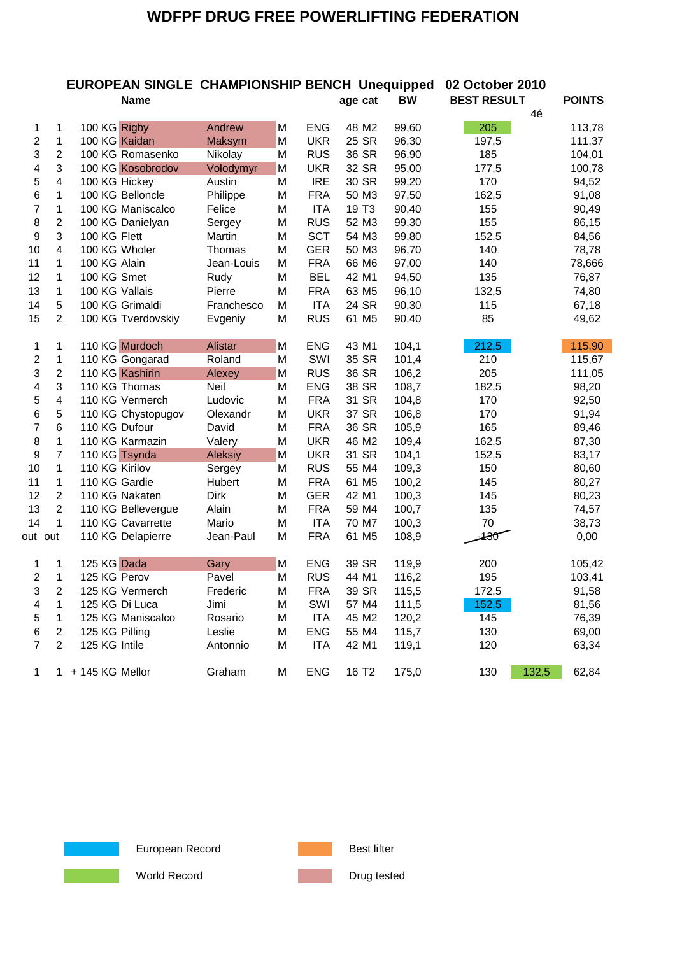|                         |                         | <b>EUROPEAN SINGLE CHAMPIONSHIP BENCH Unequipped</b> |                |   |            |                   |       | 02 October 2010    |               |
|-------------------------|-------------------------|------------------------------------------------------|----------------|---|------------|-------------------|-------|--------------------|---------------|
|                         |                         | <b>Name</b>                                          |                |   |            | age cat           | BW    | <b>BEST RESULT</b> | <b>POINTS</b> |
| 1                       | 1                       | 100 KG Rigby                                         | Andrew         | M | <b>ENG</b> | 48 M2             | 99,60 | 4é<br>205          | 113,78        |
| $\overline{c}$          | $\mathbf{1}$            | 100 KG Kaidan                                        | Maksym         | M | <b>UKR</b> | 25 SR             | 96,30 | 197,5              | 111,37        |
| 3                       | $\overline{2}$          | 100 KG Romasenko                                     | Nikolay        | M | <b>RUS</b> | 36 SR             | 96,90 | 185                | 104,01        |
| $\overline{\mathbf{4}}$ | 3                       | 100 KG Kosobrodov                                    | Volodymyr      | M | <b>UKR</b> | 32 SR             | 95,00 | 177,5              | 100,78        |
| 5                       | $\overline{\mathbf{4}}$ | 100 KG Hickey                                        | Austin         | M | <b>IRE</b> | 30 SR             | 99,20 | 170                | 94,52         |
| 6                       | 1                       | 100 KG Belloncle                                     | Philippe       | M | <b>FRA</b> | 50 M3             | 97,50 | 162,5              | 91,08         |
| $\overline{7}$          | $\mathbf{1}$            | 100 KG Maniscalco                                    | Felice         | М | <b>ITA</b> | 19 T <sub>3</sub> | 90,40 | 155                | 90,49         |
| 8                       | $\overline{2}$          | 100 KG Danielyan                                     | Sergey         | M | <b>RUS</b> | 52 M3             | 99,30 | 155                | 86,15         |
| 9                       | 3                       | 100 KG Flett                                         | Martin         | М | <b>SCT</b> | 54 M3             | 99,80 | 152,5              | 84,56         |
| 10                      | $\overline{\mathbf{4}}$ | 100 KG Wholer                                        | Thomas         | M | <b>GER</b> | 50 M3             | 96,70 | 140                | 78,78         |
| 11                      | 1                       | 100 KG Alain                                         | Jean-Louis     | M | <b>FRA</b> | 66 M6             | 97,00 | 140                | 78,666        |
| 12                      | 1                       | 100 KG Smet                                          | Rudy           | M | <b>BEL</b> | 42 M1             | 94,50 | 135                | 76,87         |
| 13                      | 1                       | 100 KG Vallais                                       | Pierre         | M | <b>FRA</b> | 63 M <sub>5</sub> | 96,10 | 132,5              | 74,80         |
| 14                      | 5                       | 100 KG Grimaldi                                      | Franchesco     | м | <b>ITA</b> | 24 SR             | 90,30 | 115                | 67,18         |
| 15                      | $\overline{2}$          | 100 KG Tverdovskiy                                   | Evgeniy        | M | <b>RUS</b> | 61 M5             | 90,40 | 85                 | 49,62         |
| 1                       | 1                       | 110 KG Murdoch                                       | Alistar        | M | <b>ENG</b> | 43 M1             | 104,1 | 212,5              | 115,90        |
| $\overline{c}$          | $\mathbf{1}$            | 110 KG Gongarad                                      | Roland         | M | SWI        | 35 SR             | 101,4 | 210                | 115,67        |
| 3                       | $\overline{2}$          | 110 KG Kashirin                                      | Alexey         | M | <b>RUS</b> | 36 SR             | 106,2 | 205                | 111,05        |
| 4                       | 3                       | 110 KG Thomas                                        | Neil           | M | <b>ENG</b> | 38 SR             | 108,7 | 182,5              | 98,20         |
| 5                       | $\overline{\mathbf{4}}$ | 110 KG Vermerch                                      | Ludovic        | M | <b>FRA</b> | 31 SR             | 104,8 | 170                | 92,50         |
| 6                       | 5                       | 110 KG Chystopugov                                   | Olexandr       | M | <b>UKR</b> | 37 SR             | 106,8 | 170                | 91,94         |
| 7                       | 6                       | 110 KG Dufour                                        | David          | M | <b>FRA</b> | 36 SR             | 105,9 | 165                | 89,46         |
| 8                       | 1                       | 110 KG Karmazin                                      | Valery         | М | <b>UKR</b> | 46 M <sub>2</sub> | 109,4 | 162,5              | 87,30         |
| $\boldsymbol{9}$        | $\overline{7}$          | 110 KG Tsynda                                        | <b>Aleksiy</b> | M | <b>UKR</b> | 31 SR             | 104,1 | 152,5              | 83,17         |
| 10                      | 1                       | 110 KG Kirilov                                       | Sergey         | M | <b>RUS</b> | 55 M4             | 109,3 | 150                | 80,60         |
| 11                      | $\mathbf{1}$            | 110 KG Gardie                                        | Hubert         | M | <b>FRA</b> | 61 M <sub>5</sub> | 100,2 | 145                | 80,27         |
| 12                      | $\overline{2}$          | 110 KG Nakaten                                       | Dirk           | М | <b>GER</b> | 42 M1             | 100,3 | 145                | 80,23         |
| 13                      | $\overline{2}$          | 110 KG Bellevergue                                   | Alain          | M | <b>FRA</b> | 59 M4             | 100,7 | 135                | 74,57         |
| 14                      | $\mathbf{1}$            | 110 KG Cavarrette                                    | Mario          | M | <b>ITA</b> | 70 M7             | 100,3 | 70                 | 38,73         |
| out out                 |                         | 110 KG Delapierre                                    | Jean-Paul      | М | <b>FRA</b> | 61 M5             | 108,9 | -130               | 0,00          |
| 1                       | 1                       | 125 KG Dada                                          | Gary           | м | <b>ENG</b> | 39 SR             | 119,9 | 200                | 105,42        |
| 2                       | $\mathbf{1}$            | 125 KG Perov                                         | Pavel          | M | <b>RUS</b> | 44 M1             | 116,2 | 195                | 103,41        |
| 3                       | $\overline{2}$          | 125 KG Vermerch                                      | Frederic       | М | <b>FRA</b> | 39 SR             | 115,5 | 172,5              | 91,58         |
| $\overline{\mathbf{4}}$ | $\mathbf{1}$            | 125 KG Di Luca                                       | Jimi           | M | SWI        | 57 M4             | 111,5 | 152,5              | 81,56         |
| 5                       | $\mathbf{1}$            | 125 KG Maniscalco                                    | Rosario        | M | <b>ITA</b> | 45 M2             | 120,2 | 145                | 76,39         |
| 6                       | $\overline{2}$          | 125 KG Pilling                                       | Leslie         | M | <b>ENG</b> | 55 M4             | 115,7 | 130                | 69,00         |
| $\overline{7}$          | $\overline{2}$          | 125 KG Intile                                        | Antonnio       | M | <b>ITA</b> | 42 M1             | 119,1 | 120                | 63,34         |



European Record **Best lifter** Best lifter



1 1 + 145 KG Mellor Graham M ENG 16 T2 175,0 130 132,5 62,84

World Record **Drug tested** Drug tested